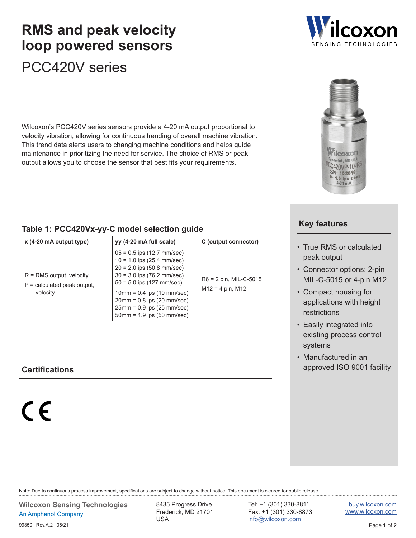# PCC420V series **RMS and peak velocity loop powered sensors**

Wilcoxon's PCC420V series sensors provide a 4-20 mA output proportional to velocity vibration, allowing for continuous trending of overall machine vibration. This trend data alerts users to changing machine conditions and helps guide maintenance in prioritizing the need for service. The choice of RMS or peak output allows you to choose the sensor that best fits your requirements.

#### <span id="page-0-0"></span>**Table 1: PCC420Vx-yy-C model selection guide**

| $x$ (4-20 mA output type)                                               | yy (4-20 mA full scale)                                                                                                                                                                                                                                                                                     | C (output connector)                         |
|-------------------------------------------------------------------------|-------------------------------------------------------------------------------------------------------------------------------------------------------------------------------------------------------------------------------------------------------------------------------------------------------------|----------------------------------------------|
| $R = RMS$ output, velocity<br>$P =$ calculated peak output,<br>velocity | $05 = 0.5$ ips (12.7 mm/sec)<br>$10 = 1.0$ ips (25.4 mm/sec)<br>$20 = 2.0$ ips (50.8 mm/sec)<br>$30 = 3.0$ ips (76.2 mm/sec)<br>$50 = 5.0$ ips (127 mm/sec)<br>$10mm = 0.4$ ips (10 mm/sec)<br>$20 \text{mm} = 0.8$ ips (20 mm/sec)<br>$25mm = 0.9$ ips (25 mm/sec)<br>$50 \text{mm} = 1.9$ ips (50 mm/sec) | R6 = 2 pin, MIL-C-5015<br>$M12 = 4$ pin, M12 |

 $C \in$ 

Note: Due to continuous process improvement, specifications are subject to change without notice. This document is cleared for public release.

Frederick, MD 21701 USA

Tel: +1 (301) 330-8811 Fax: +1 (301) 330-8873

[buy.wilcoxon.com](https://buy.wilcoxon.com) [www.wilcoxon.com](https://www.wilcoxon.com)



#### **Key features**

- True RMS or calculated peak output
- Connector options: 2-pin MIL-C-5015 or 4-pin M12
- Compact housing for applications with height restrictions
- Easily integrated into existing process control systems
- Manufactured in an **Certifications** approved ISO 9001 facility